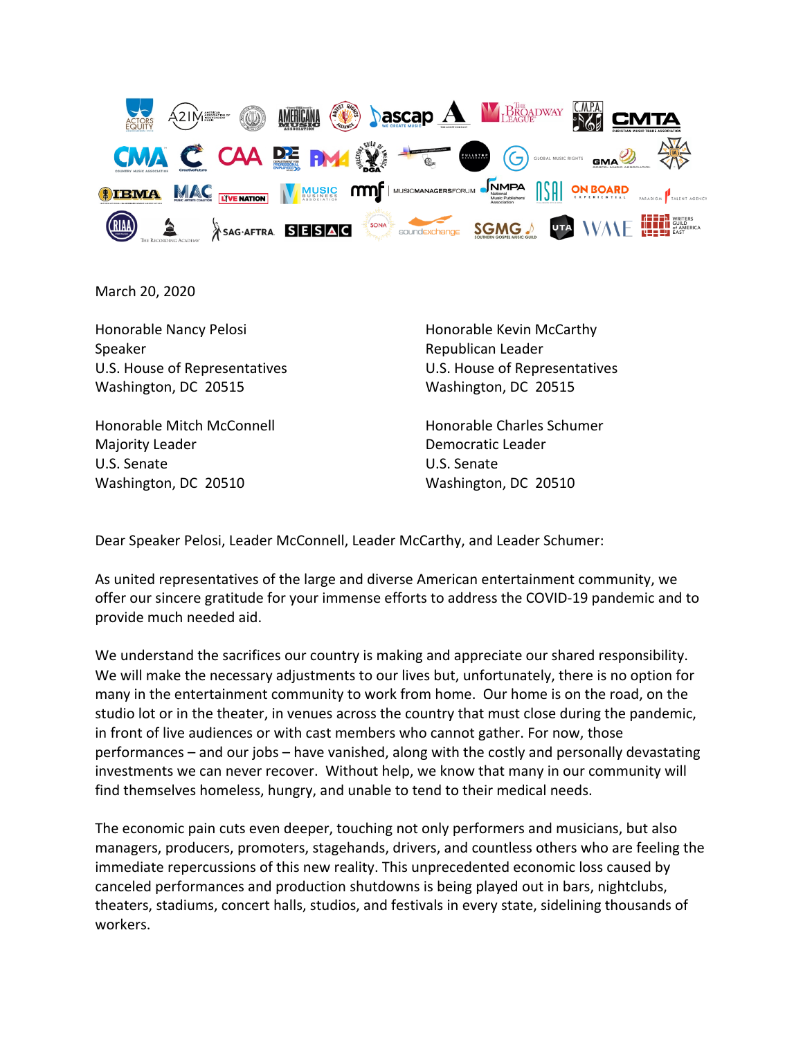

March 20, 2020

Honorable Nancy Pelosi Honorable Kevin McCarthy Speaker **Republican Leader** Republican Leader U.S. House of Representatives U.S. House of Representatives Washington, DC 20515 Washington, DC 20515

Majority Leader **Democratic Leader** U.S. Senate U.S. Senate Washington, DC 20510 Washington, DC 20510

Honorable Mitch McConnell Honorable Charles Schumer

Dear Speaker Pelosi, Leader McConnell, Leader McCarthy, and Leader Schumer:

As united representatives of the large and diverse American entertainment community, we offer our sincere gratitude for your immense efforts to address the COVID-19 pandemic and to provide much needed aid.

We understand the sacrifices our country is making and appreciate our shared responsibility. We will make the necessary adjustments to our lives but, unfortunately, there is no option for many in the entertainment community to work from home. Our home is on the road, on the studio lot or in the theater, in venues across the country that must close during the pandemic, in front of live audiences or with cast members who cannot gather. For now, those performances – and our jobs – have vanished, along with the costly and personally devastating investments we can never recover. Without help, we know that many in our community will find themselves homeless, hungry, and unable to tend to their medical needs.

The economic pain cuts even deeper, touching not only performers and musicians, but also managers, producers, promoters, stagehands, drivers, and countless others who are feeling the immediate repercussions of this new reality. This unprecedented economic loss caused by canceled performances and production shutdowns is being played out in bars, nightclubs, theaters, stadiums, concert halls, studios, and festivals in every state, sidelining thousands of workers.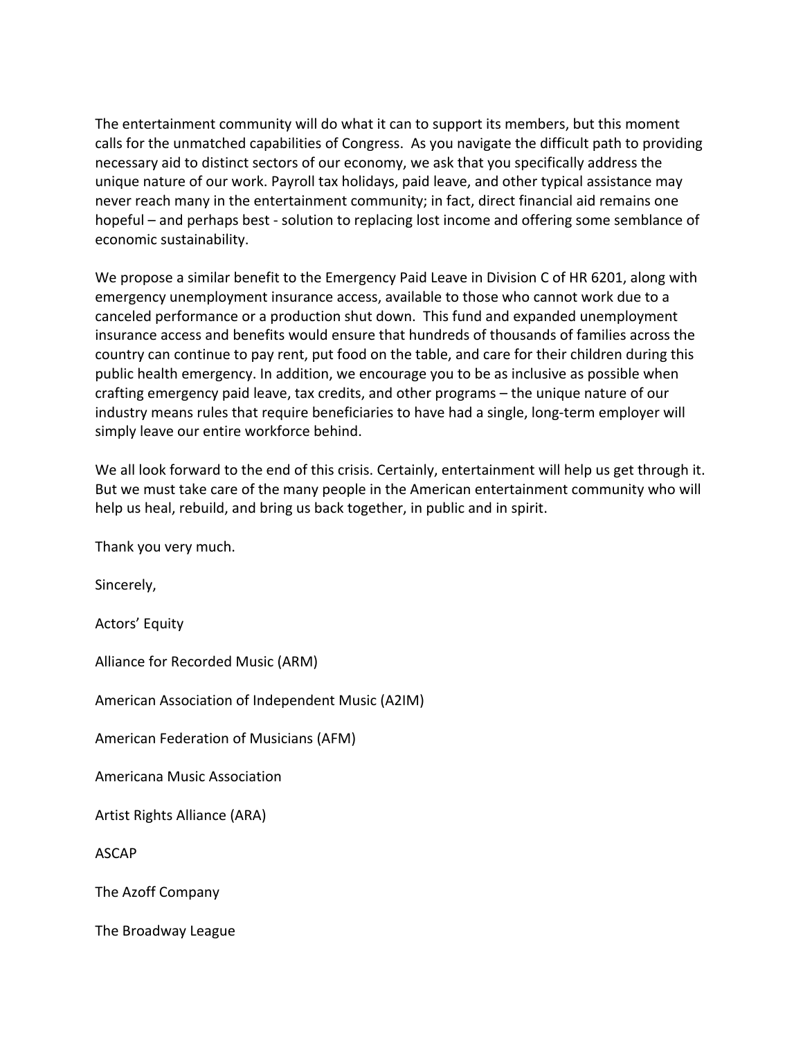The entertainment community will do what it can to support its members, but this moment calls for the unmatched capabilities of Congress. As you navigate the difficult path to providing necessary aid to distinct sectors of our economy, we ask that you specifically address the unique nature of our work. Payroll tax holidays, paid leave, and other typical assistance may never reach many in the entertainment community; in fact, direct financial aid remains one hopeful – and perhaps best - solution to replacing lost income and offering some semblance of economic sustainability.

We propose a similar benefit to the Emergency Paid Leave in Division C of HR 6201, along with emergency unemployment insurance access, available to those who cannot work due to a canceled performance or a production shut down. This fund and expanded unemployment insurance access and benefits would ensure that hundreds of thousands of families across the country can continue to pay rent, put food on the table, and care for their children during this public health emergency. In addition, we encourage you to be as inclusive as possible when crafting emergency paid leave, tax credits, and other programs – the unique nature of our industry means rules that require beneficiaries to have had a single, long-term employer will simply leave our entire workforce behind.

We all look forward to the end of this crisis. Certainly, entertainment will help us get through it. But we must take care of the many people in the American entertainment community who will help us heal, rebuild, and bring us back together, in public and in spirit.

Thank you very much.

Sincerely,

Actors' Equity

Alliance for Recorded Music (ARM)

American Association of Independent Music (A2IM)

American Federation of Musicians (AFM)

Americana Music Association

Artist Rights Alliance (ARA)

ASCAP

The Azoff Company

The Broadway League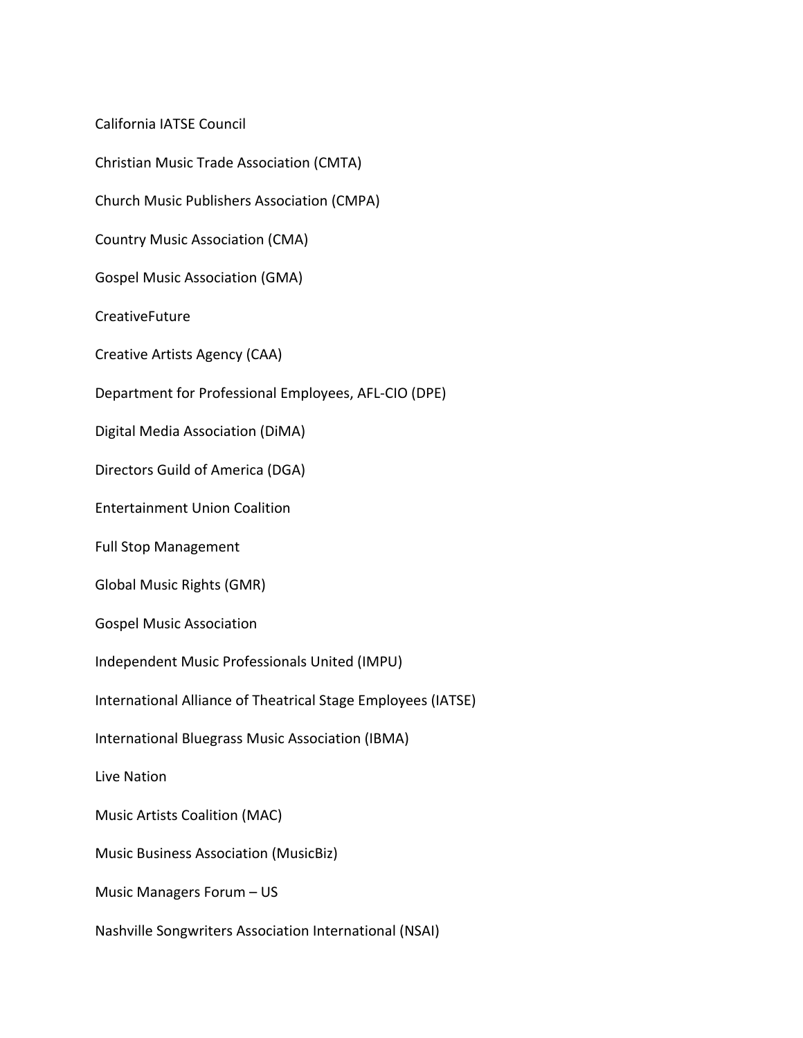California IATSE Council

Christian Music Trade Association (CMTA)

Church Music Publishers Association (CMPA)

Country Music Association (CMA)

Gospel Music Association (GMA)

CreativeFuture

Creative Artists Agency (CAA)

Department for Professional Employees, AFL-CIO (DPE)

Digital Media Association (DiMA)

Directors Guild of America (DGA)

Entertainment Union Coalition

Full Stop Management

Global Music Rights (GMR)

Gospel Music Association

Independent Music Professionals United (IMPU)

International Alliance of Theatrical Stage Employees (IATSE)

International Bluegrass Music Association (IBMA)

Live Nation

Music Artists Coalition (MAC)

Music Business Association (MusicBiz)

Music Managers Forum – US

Nashville Songwriters Association International (NSAI)